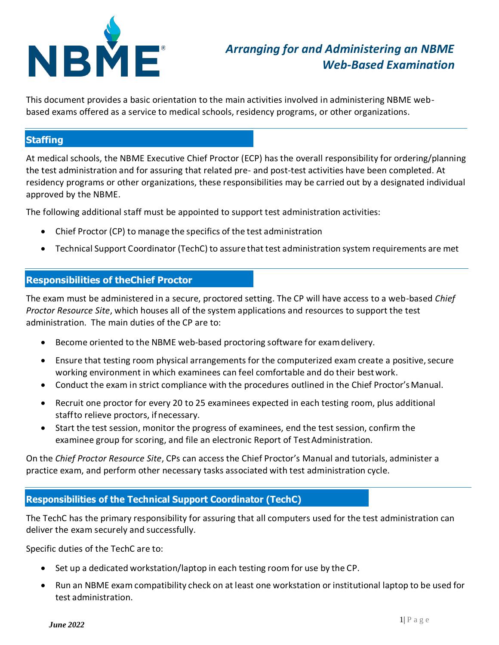

# *Arranging for and Administering an NBME Web-Based Examination*

This document provides a basic orientation to the main activities involved in administering NBME webbased exams offered as a service to medical schools, residency programs, or other organizations.

## **Staffing**

At medical schools, the NBME Executive Chief Proctor (ECP) has the overall responsibility for ordering/planning the test administration and for assuring that related pre- and post-test activities have been completed. At residency programs or other organizations, these responsibilities may be carried out by a designated individual approved by the NBME.

The following additional staff must be appointed to support test administration activities:

- Chief Proctor (CP) to manage the specifics of the test administration
- Technical Support Coordinator (TechC) to assure that test administration system requirements are met

# **Responsibilities of theChief Proctor**

The exam must be administered in a secure, proctored setting. The CP will have access to a web-based *Chief Proctor Resource Site*, which houses all of the system applications and resources to support the test administration. The main duties of the CP are to:

- Become oriented to the NBME web-based proctoring software for examdelivery.
- Ensure that testing room physical arrangements for the computerized exam create a positive, secure working environment in which examinees can feel comfortable and do their bestwork.
- Conduct the exam in strict compliance with the procedures outlined in the Chief Proctor'sManual.
- Recruit one proctor for every 20 to 25 examinees expected in each testing room, plus additional staffto relieve proctors, if necessary.
- Start the test session, monitor the progress of examinees, end the test session, confirm the examinee group for scoring, and file an electronic Report of Test Administration.

On the *Chief Proctor Resource Site*, CPs can access the Chief Proctor's Manual and tutorials, administer a practice exam, and perform other necessary tasks associated with test administration cycle.

## **Responsibilities of the Technical Support Coordinator (TechC)**

The TechC has the primary responsibility for assuring that all computers used for the test administration can deliver the exam securely and successfully.

Specific duties of the TechC are to:

- Set up a dedicated workstation/laptop in each testing room for use by the CP.
- Run an NBME exam compatibility check on at least one workstation or institutional laptop to be used for test administration.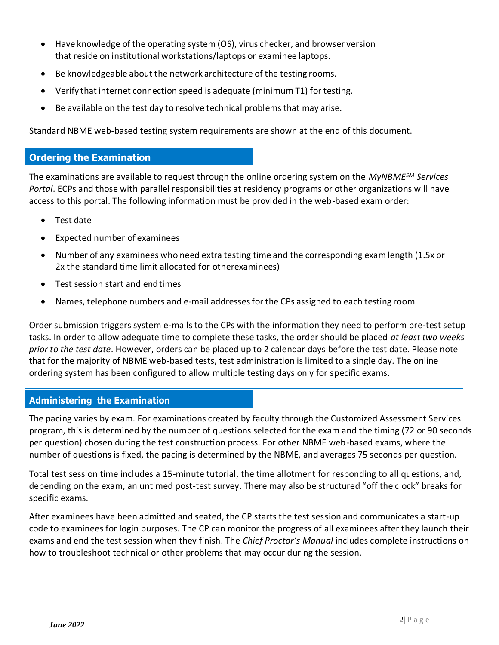- Have knowledge of the operating system (OS), virus checker, and browser version that reside on institutional workstations/laptops or examinee laptops.
- Be knowledgeable about the network architecture of the testing rooms.
- Verify that internet connection speed is adequate (minimum T1) for testing.
- Be available on the test day to resolve technical problems that may arise.

Standard NBME web-based testing system requirements are shown at the end of this document.

### **Ordering the Examination**

The examinations are available to request through the online ordering system on the *MyNBMESM Services Portal*. ECPs and those with parallel responsibilities at residency programs or other organizations will have access to this portal. The following information must be provided in the web-based exam order:

- Test date
- Expected number of examinees
- Number of any examinees who need extra testing time and the corresponding exam length (1.5x or 2x the standard time limit allocated for otherexaminees)
- Test session start and endtimes
- Names, telephone numbers and e-mail addressesfor the CPs assigned to each testing room

Order submission triggers system e-mails to the CPs with the information they need to perform pre-test setup tasks. In order to allow adequate time to complete these tasks, the order should be placed *at least two weeks prior to the test date*. However, orders can be placed up to 2 calendar days before the test date. Please note that for the majority of NBME web-based tests, test administration is limited to a single day. The online ordering system has been configured to allow multiple testing days only for specific exams.

#### **Administering the Examination**

The pacing varies by exam. For examinations created by faculty through the Customized Assessment Services program, this is determined by the number of questions selected for the exam and the timing (72 or 90 seconds per question) chosen during the test construction process. For other NBME web-based exams, where the number of questions is fixed, the pacing is determined by the NBME, and averages 75 seconds per question.

Total test session time includes a 15-minute tutorial, the time allotment for responding to all questions, and, depending on the exam, an untimed post-test survey. There may also be structured "off the clock" breaks for specific exams.

After examinees have been admitted and seated, the CP starts the test session and communicates a start-up code to examinees for login purposes. The CP can monitor the progress of all examinees after they launch their exams and end the test session when they finish. The *Chief Proctor's Manual* includes complete instructions on how to troubleshoot technical or other problems that may occur during the session.